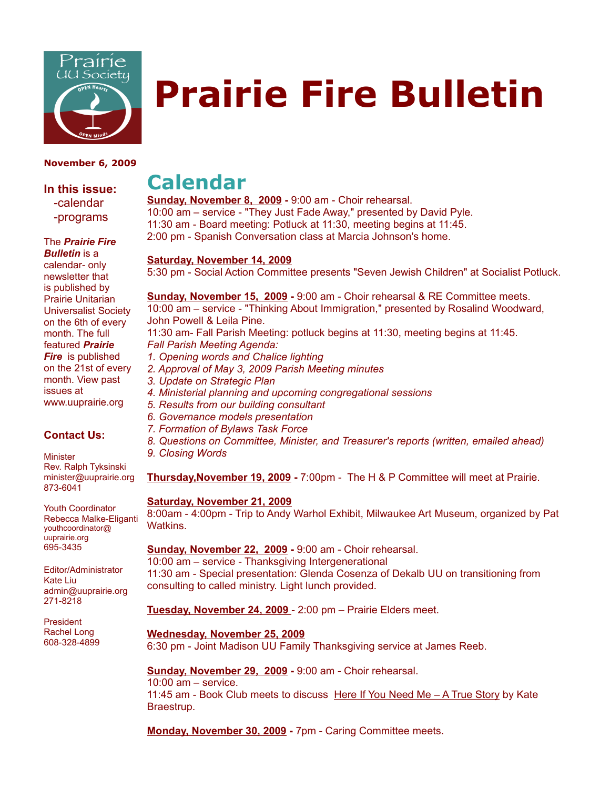

# **Prairie Fire Bulletin**

#### **November 6, 2009**

**In this issue:** -calendar -programs

The *Prairie Fire*

*Bulletin* is a calendar- only newsletter that is published by Prairie Unitarian Universalist Society on the 6th of every month. The full featured *Prairie Fire* is published on the 21st of every month. View past issues at www.uuprairie.org

#### **Contact Us:**

**Minister** Rev. Ralph Tyksinski minister@uuprairie.org 873-6041

Youth Coordinator Rebecca Malke-Eliganti youthcoordinator@ uuprairie.org 695-3435

Editor/Administrator Kate Liu admin@uuprairie.org 271-8218

President Rachel Long 608-328-4899

## **Calendar**

**Sunday, November 8, 2009 -** 9:00 am - Choir rehearsal. 10:00 am – service - "They Just Fade Away," presented by David Pyle. 11:30 am - Board meeting: Potluck at 11:30, meeting begins at 11:45. 2:00 pm - Spanish Conversation class at Marcia Johnson's home.

#### **Saturday, November 14, 2009**

5:30 pm - Social Action Committee presents "Seven Jewish Children" at Socialist Potluck.

**Sunday, November 15, 2009 -** 9:00 am - Choir rehearsal & RE Committee meets. 10:00 am – service - "Thinking About Immigration," presented by Rosalind Woodward, John Powell & Leila Pine. 11:30 am- Fall Parish Meeting: potluck begins at 11:30, meeting begins at 11:45. *Fall Parish Meeting Agenda: 1. Opening words and Chalice lighting 2. Approval of May 3, 2009 Parish Meeting minutes 3. Update on Strategic Plan 4. Ministerial planning and upcoming congregational sessions 5. Results from our building consultant 6. Governance models presentation 7. Formation of Bylaws Task Force 8. Questions on Committee, Minister, and Treasurer's reports (written, emailed ahead) 9. Closing Words*  **Thursday,November 19, 2009 -** 7:00pm - The H & P Committee will meet at Prairie. **Saturday, November 21, 2009** 8:00am - 4:00pm - Trip to Andy Warhol Exhibit, Milwaukee Art Museum, organized by Pat Watkins. **Sunday, November 22, 2009 -** 9:00 am - Choir rehearsal. 10:00 am – service - Thanksgiving Intergenerational 11:30 am - Special presentation: Glenda Cosenza of Dekalb UU on transitioning from consulting to called ministry. Light lunch provided.

**Tuesday, November 24, 2009** - 2:00 pm – Prairie Elders meet.

**Wednesday, November 25, 2009**

6:30 pm - Joint Madison UU Family Thanksgiving service at James Reeb.

**Sunday, November 29, 2009 -** 9:00 am - Choir rehearsal.

10:00 am – service. 11:45 am - Book Club meets to discuss Here If You Need Me  $-$  A True Story by Kate Braestrup.

**Monday, November 30, 2009 -** 7pm - Caring Committee meets.